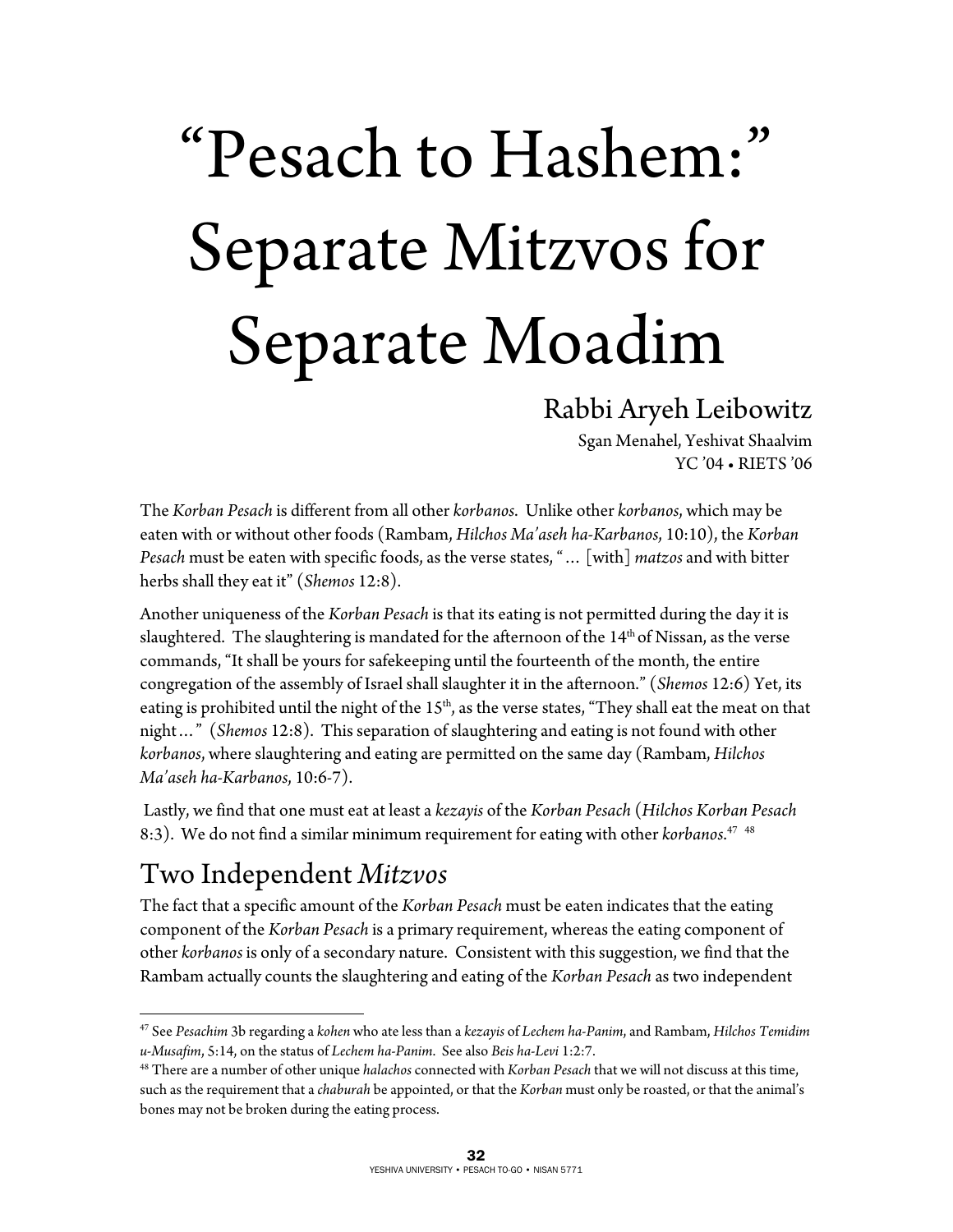# "Pesach to Hashem:" Separate Mitzvos for Separate Moadim

#### Rabbi Aryeh Leibowitz

Sgan Menahel, Yeshivat Shaalvim YC '04 • RIETS '06

The *Korban Pesach* is different from all other *korbanos*. Unlike other *korbanos*, which may be eaten with or without other foods (Rambam, *Hilchos Ma'aseh ha-Karbanos*, 10:10), the *Korban Pesach* must be eaten with specific foods, as the verse states, "… [with] *matzos* and with bitter herbs shall they eat it" (*Shemos* 12:8).

Another uniqueness of the *Korban Pesach* is that its eating is not permitted during the day it is slaughtered. The slaughtering is mandated for the afternoon of the 14<sup>th</sup> of Nissan, as the verse commands, "It shall be yours for safekeeping until the fourteenth of the month, the entire congregation of the assembly of Israel shall slaughter it in the afternoon." (*Shemos* 12:6) Yet, its eating is prohibited until the night of the  $15<sup>th</sup>$ , as the verse states, "They shall eat the meat on that night…" (*Shemos* 12:8). This separation of slaughtering and eating is not found with other *korbanos*, where slaughtering and eating are permitted on the same day (Rambam, *Hilchos Ma'aseh ha-Karbanos*, 10:6-7).

 Lastly, we find that one must eat at least a *kezayis* of the *Korban Pesach* (*Hilchos Korban Pesach* 8:3). We do not find a similar minimum requirement for eating with other *korbanos*. 47 48

### Two Independent *Mitzvos*

 $\overline{a}$ 

The fact that a specific amount of the *Korban Pesach* must be eaten indicates that the eating component of the *Korban Pesach* is a primary requirement, whereas the eating component of other *korbanos* is only of a secondary nature. Consistent with this suggestion, we find that the Rambam actually counts the slaughtering and eating of the *Korban Pesach* as two independent

<sup>47</sup> See *Pesachim* 3b regarding a *kohen* who ate less than a *kezayis* of *Lechem ha-Panim*, and Rambam, *Hilchos Temidim*  u-Musafim, 5:14, on the status of Lechem ha-Panim. See also Beis ha-Levi 1:2:7.<br><sup>48</sup> There are a number of other unique halachos connected with Korban Pesach that we will not discuss at this time,

such as the requirement that a *chaburah* be appointed, or that the *Korban* must only be roasted, or that the animal's bones may not be broken during the eating process.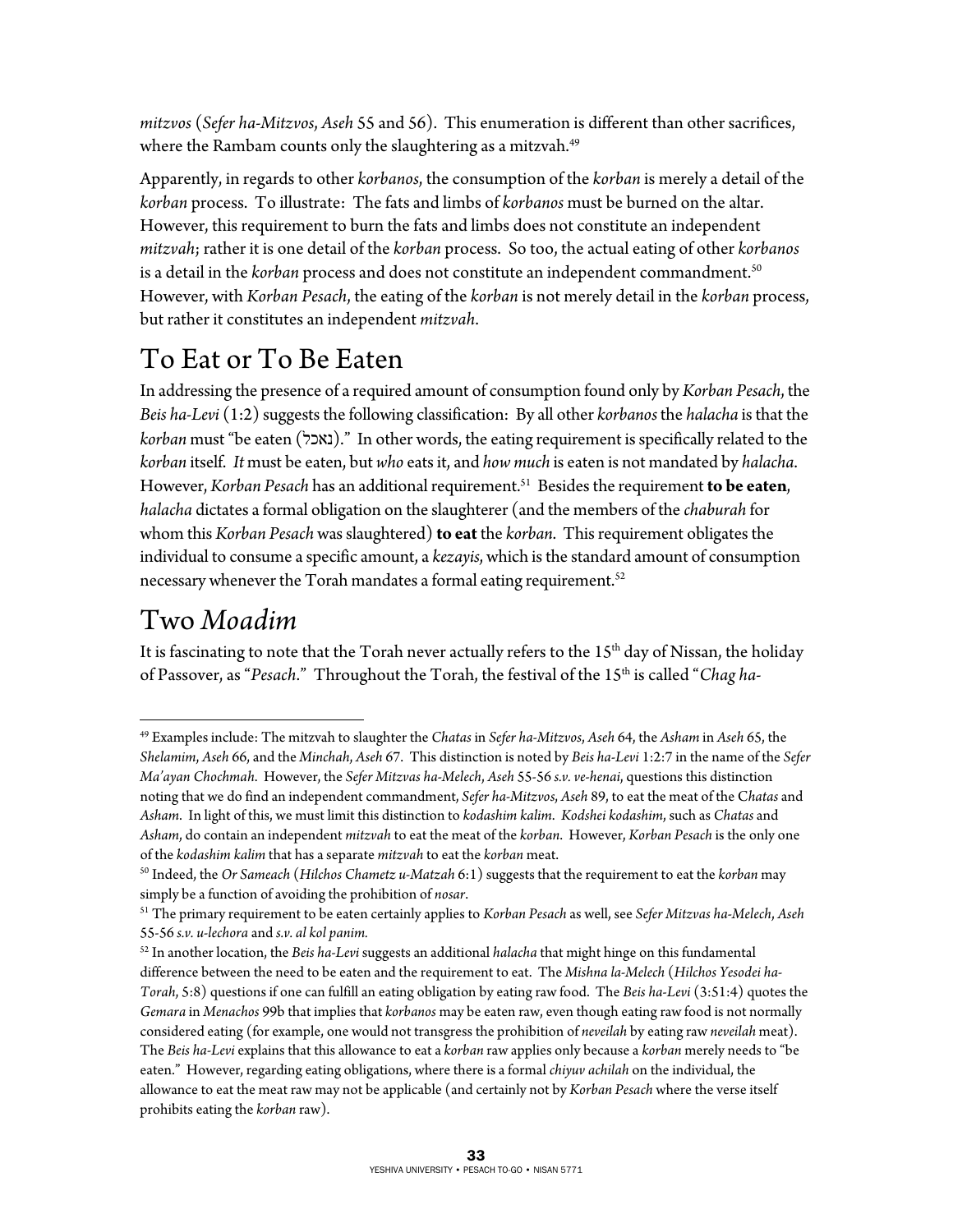*mitzvos* (*Sefer ha-Mitzvos*, *Aseh* 55 and 56). This enumeration is different than other sacrifices, where the Rambam counts only the slaughtering as a mitzvah.<sup>49</sup>

Apparently, in regards to other *korbanos*, the consumption of the *korban* is merely a detail of the *korban* process. To illustrate: The fats and limbs of *korbanos* must be burned on the altar. However, this requirement to burn the fats and limbs does not constitute an independent *mitzvah*; rather it is one detail of the *korban* process. So too, the actual eating of other *korbanos* is a detail in the *korban* process and does not constitute an independent commandment.<sup>50</sup> However, with *Korban Pesach*, the eating of the *korban* is not merely detail in the *korban* process, but rather it constitutes an independent *mitzvah*.

## To Eat or To Be Eaten

In addressing the presence of a required amount of consumption found only by *Korban Pesach*, the *Beis ha-Levi* (1:2) suggests the following classification: By all other *korbanos* the *halacha* is that the *korban* must "be eaten (נאכל(. "In other words, the eating requirement is specifically related to the *korban* itself. *It* must be eaten, but *who* eats it, and *how much* is eaten is not mandated by *halacha*. However, *Korban Pesach* has an additional requirement.51 Besides the requirement **to be eaten**, *halacha* dictates a formal obligation on the slaughterer (and the members of the *chaburah* for whom this *Korban Pesach* was slaughtered) **to eat** the *korban*. This requirement obligates the individual to consume a specific amount, a *kezayis*, which is the standard amount of consumption necessary whenever the Torah mandates a formal eating requirement.<sup>52</sup>

#### Two *Moadim*

 $\overline{a}$ 

It is fascinating to note that the Torah never actually refers to the 15<sup>th</sup> day of Nissan, the holiday of Passover, as "*Pesach*." Throughout the Torah, the festival of the 15th is called "*Chag ha-*

<sup>49</sup> Examples include: The mitzvah to slaughter the *Chatas* in *Sefer ha-Mitzvos*, *Aseh* 64, the *Asham* in *Aseh* 65, the *Shelamim*, *Aseh* 66, and the *Minchah*, *Aseh* 67. This distinction is noted by *Beis ha-Levi* 1:2:7 in the name of the *Sefer Ma'ayan Chochmah*. However, the *Sefer Mitzvas ha-Melech*, *Aseh* 55-56 *s.v. ve-henai*, questions this distinction noting that we do find an independent commandment, *Sefer ha-Mitzvos*, *Aseh* 89, to eat the meat of the C*hatas* and *Asham*. In light of this, we must limit this distinction to *kodashim kalim*. *Kodshei kodashim*, such as *Chatas* and *Asham*, do contain an independent *mitzvah* to eat the meat of the *korban*. However, *Korban Pesach* is the only one

of the *kodashim kalim* that has a separate *mitzvah* to eat the *korban* meat. 50 Indeed, the *Or Sameach* (*Hilchos Chametz u-Matzah* 6:1) suggests that the requirement to eat the *korban* may simply be a function of avoiding the prohibition of *nosar*. 51 The primary requirement to be eaten certainly applies to *Korban Pesach* as well, see *Sefer Mitzvas ha-Melech*, *Aseh*

<sup>55-56</sup> *s.v. u-lechora* and *s.v. al kol panim.*

<sup>52</sup> In another location, the *Beis ha-Levi* suggests an additional *halacha* that might hinge on this fundamental difference between the need to be eaten and the requirement to eat. The *Mishna la-Melech* (*Hilchos Yesodei ha-Torah*, 5:8) questions if one can fulfill an eating obligation by eating raw food. The *Beis ha-Levi* (3:51:4) quotes the *Gemara* in *Menachos* 99b that implies that *korbanos* may be eaten raw, even though eating raw food is not normally considered eating (for example, one would not transgress the prohibition of *neveilah* by eating raw *neveilah* meat). The *Beis ha-Levi* explains that this allowance to eat a *korban* raw applies only because a *korban* merely needs to "be eaten." However, regarding eating obligations, where there is a formal *chiyuv achilah* on the individual, the allowance to eat the meat raw may not be applicable (and certainly not by *Korban Pesach* where the verse itself prohibits eating the *korban* raw).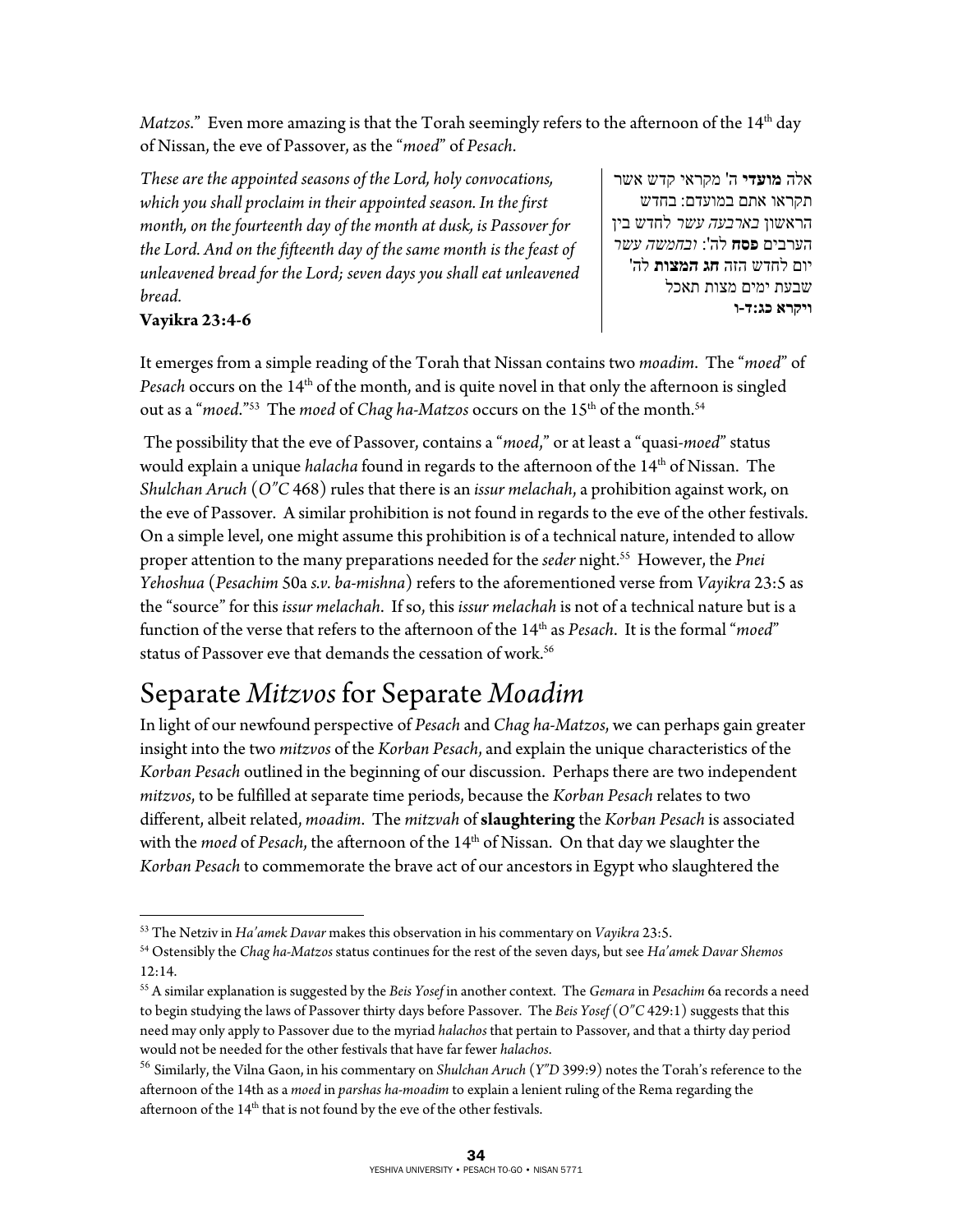*Matzos*." Even more amazing is that the Torah seemingly refers to the afternoon of the 14<sup>th</sup> day of Nissan, the eve of Passover, as the "*moed*" of *Pesach*.

*These are the appointed seasons of the Lord, holy convocations, which you shall proclaim in their appointed season. In the first month, on the fourteenth day of the month at dusk, is Passover for the Lord. And on the fifteenth day of the same month is the feast of unleavened bread for the Lord; seven days you shall eat unleavened bread.* 

**Vayikra 23:4-6** 

אלה **מועדי** ה' מקראי קדש אשר תקראו אתם במועדם: בחדש הראשון *בארבעה עשר* לחדש בין הערבים **פסח** : ' לה *ובחמשה עשר* יום לחדש הזה **חג המצות** לה' שבעת ימים מצות תאכל **ויקרא כג:ד-ו**

It emerges from a simple reading of the Torah that Nissan contains two *moadim*. The "*moed*" of Pesach occurs on the 14<sup>th</sup> of the month, and is quite novel in that only the afternoon is singled out as a "*moed.*"<sup>53</sup> The *moed* of *Chag ha-Matzos* occurs on the 15<sup>th</sup> of the month.<sup>54</sup>

 The possibility that the eve of Passover, contains a "*moed*," or at least a "quasi-*moed*" status would explain a unique *halacha* found in regards to the afternoon of the 14<sup>th</sup> of Nissan. The *Shulchan Aruch* (*O"C* 468) rules that there is an *issur melachah*, a prohibition against work, on the eve of Passover. A similar prohibition is not found in regards to the eve of the other festivals. On a simple level, one might assume this prohibition is of a technical nature, intended to allow proper attention to the many preparations needed for the *seder* night.<sup>55</sup> However, the *Pnei Yehoshua* (*Pesachim* 50a *s.v. ba-mishna*) refers to the aforementioned verse from *Vayikra* 23:5 as the "source" for this *issur melachah*. If so, this *issur melachah* is not of a technical nature but is a function of the verse that refers to the afternoon of the 14th as *Pesach*. It is the formal "*moed*" status of Passover eve that demands the cessation of work.56

### Separate *Mitzvos* for Separate *Moadim*

In light of our newfound perspective of *Pesach* and *Chag ha-Matzos*, we can perhaps gain greater insight into the two *mitzvos* of the *Korban Pesach*, and explain the unique characteristics of the *Korban Pesach* outlined in the beginning of our discussion. Perhaps there are two independent *mitzvos*, to be fulfilled at separate time periods, because the *Korban Pesach* relates to two different, albeit related, *moadim*. The *mitzvah* of **slaughtering** the *Korban Pesach* is associated with the *moed* of *Pesach*, the afternoon of the 14<sup>th</sup> of Nissan. On that day we slaughter the *Korban Pesach* to commemorate the brave act of our ancestors in Egypt who slaughtered the

 $\overline{a}$ 

<sup>&</sup>lt;sup>53</sup> The Netziv in Ha'amek Davar makes this observation in his commentary on Vayikra 23:5.<br><sup>54</sup> Ostensibly the Chag ha-Matzos status continues for the rest of the seven days, but see Ha'amek Davar Shemos 12:14.

<sup>55</sup> A similar explanation is suggested by the *Beis Yosef* in another context. The *Gemara* in *Pesachim* 6a records a need to begin studying the laws of Passover thirty days before Passover. The *Beis Yosef* (*O"C* 429:1) suggests that this need may only apply to Passover due to the myriad *halachos* that pertain to Passover, and that a thirty day period would not be needed for the other festivals that have far fewer *halachos*.

<sup>56</sup> Similarly, the Vilna Gaon, in his commentary on *Shulchan Aruch* (*Y"D* 399:9) notes the Torah's reference to the afternoon of the 14th as a *moed* in *parshas ha-moadim* to explain a lenient ruling of the Rema regarding the afternoon of the  $14<sup>th</sup>$  that is not found by the eve of the other festivals.